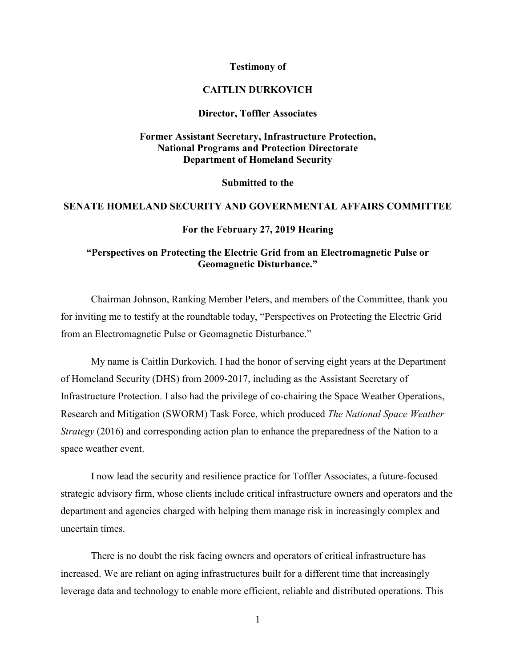### **Testimony of**

### **CAITLIN DURKOVICH**

### **Director, Toffler Associates**

# **Former Assistant Secretary, Infrastructure Protection, National Programs and Protection Directorate Department of Homeland Security**

#### **Submitted to the**

### **SENATE HOMELAND SECURITY AND GOVERNMENTAL AFFAIRS COMMITTEE**

#### **For the February 27, 2019 Hearing**

# **"Perspectives on Protecting the Electric Grid from an Electromagnetic Pulse or Geomagnetic Disturbance."**

Chairman Johnson, Ranking Member Peters, and members of the Committee, thank you for inviting me to testify at the roundtable today, "Perspectives on Protecting the Electric Grid from an Electromagnetic Pulse or Geomagnetic Disturbance."

My name is Caitlin Durkovich. I had the honor of serving eight years at the Department of Homeland Security (DHS) from 2009-2017, including as the Assistant Secretary of Infrastructure Protection. I also had the privilege of co-chairing the Space Weather Operations, Research and Mitigation (SWORM) Task Force, which produced *The National Space Weather Strategy* (2016) and corresponding action plan to enhance the preparedness of the Nation to a space weather event.

I now lead the security and resilience practice for Toffler Associates, a future-focused strategic advisory firm, whose clients include critical infrastructure owners and operators and the department and agencies charged with helping them manage risk in increasingly complex and uncertain times.

There is no doubt the risk facing owners and operators of critical infrastructure has increased. We are reliant on aging infrastructures built for a different time that increasingly leverage data and technology to enable more efficient, reliable and distributed operations. This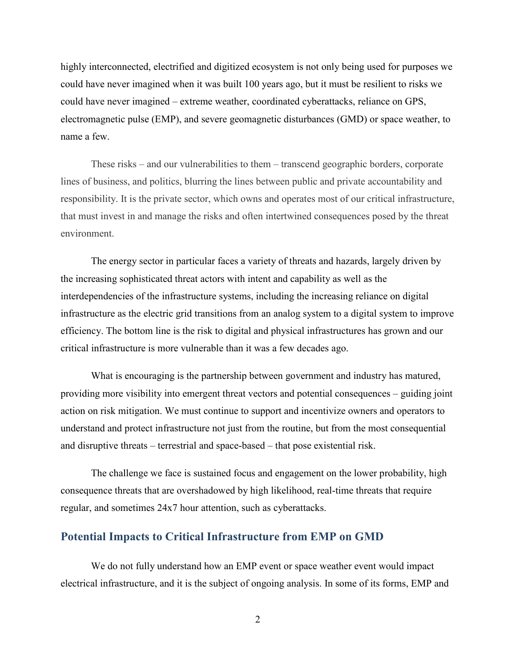highly interconnected, electrified and digitized ecosystem is not only being used for purposes we could have never imagined when it was built 100 years ago, but it must be resilient to risks we could have never imagined – extreme weather, coordinated cyberattacks, reliance on GPS, electromagnetic pulse (EMP), and severe geomagnetic disturbances (GMD) or space weather, to name a few.

These risks – and our vulnerabilities to them – transcend geographic borders, corporate lines of business, and politics, blurring the lines between public and private accountability and responsibility. It is the private sector, which owns and operates most of our critical infrastructure, that must invest in and manage the risks and often intertwined consequences posed by the threat environment.

The energy sector in particular faces a variety of threats and hazards, largely driven by the increasing sophisticated threat actors with intent and capability as well as the interdependencies of the infrastructure systems, including the increasing reliance on digital infrastructure as the electric grid transitions from an analog system to a digital system to improve efficiency. The bottom line is the risk to digital and physical infrastructures has grown and our critical infrastructure is more vulnerable than it was a few decades ago.

What is encouraging is the partnership between government and industry has matured, providing more visibility into emergent threat vectors and potential consequences – guiding joint action on risk mitigation. We must continue to support and incentivize owners and operators to understand and protect infrastructure not just from the routine, but from the most consequential and disruptive threats – terrestrial and space-based – that pose existential risk.

The challenge we face is sustained focus and engagement on the lower probability, high consequence threats that are overshadowed by high likelihood, real-time threats that require regular, and sometimes 24x7 hour attention, such as cyberattacks.

### **Potential Impacts to Critical Infrastructure from EMP on GMD**

We do not fully understand how an EMP event or space weather event would impact electrical infrastructure, and it is the subject of ongoing analysis. In some of its forms, EMP and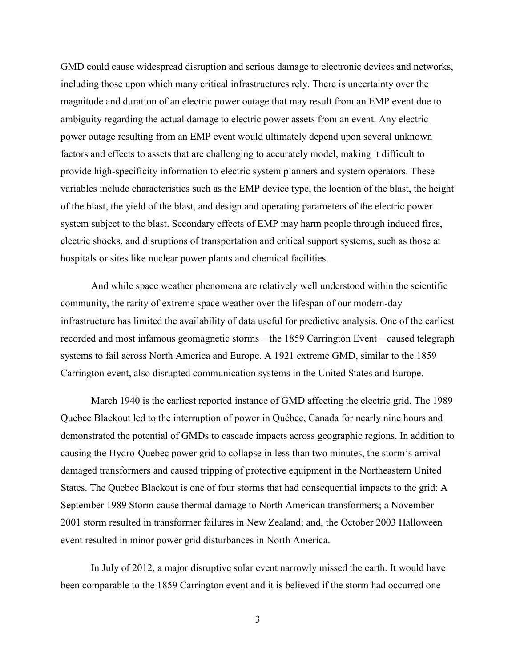GMD could cause widespread disruption and serious damage to electronic devices and networks, including those upon which many critical infrastructures rely. There is uncertainty over the magnitude and duration of an electric power outage that may result from an EMP event due to ambiguity regarding the actual damage to electric power assets from an event. Any electric power outage resulting from an EMP event would ultimately depend upon several unknown factors and effects to assets that are challenging to accurately model, making it difficult to provide high-specificity information to electric system planners and system operators. These variables include characteristics such as the EMP device type, the location of the blast, the height of the blast, the yield of the blast, and design and operating parameters of the electric power system subject to the blast. Secondary effects of EMP may harm people through induced fires, electric shocks, and disruptions of transportation and critical support systems, such as those at hospitals or sites like nuclear power plants and chemical facilities.

And while space weather phenomena are relatively well understood within the scientific community, the rarity of extreme space weather over the lifespan of our modern-day infrastructure has limited the availability of data useful for predictive analysis. One of the earliest recorded and most infamous geomagnetic storms – the 1859 Carrington Event – caused telegraph systems to fail across North America and Europe. A 1921 extreme GMD, similar to the 1859 Carrington event, also disrupted communication systems in the United States and Europe.

March 1940 is the earliest reported instance of GMD affecting the electric grid. The 1989 Quebec Blackout led to the interruption of power in Québec, Canada for nearly nine hours and demonstrated the potential of GMDs to cascade impacts across geographic regions. In addition to causing the Hydro-Quebec power grid to collapse in less than two minutes, the storm's arrival damaged transformers and caused tripping of protective equipment in the Northeastern United States. The Quebec Blackout is one of four storms that had consequential impacts to the grid: A September 1989 Storm cause thermal damage to North American transformers; a November 2001 storm resulted in transformer failures in New Zealand; and, the October 2003 Halloween event resulted in minor power grid disturbances in North America.

In July of 2012, a major disruptive solar event narrowly missed the earth. It would have been comparable to the 1859 Carrington event and it is believed if the storm had occurred one

3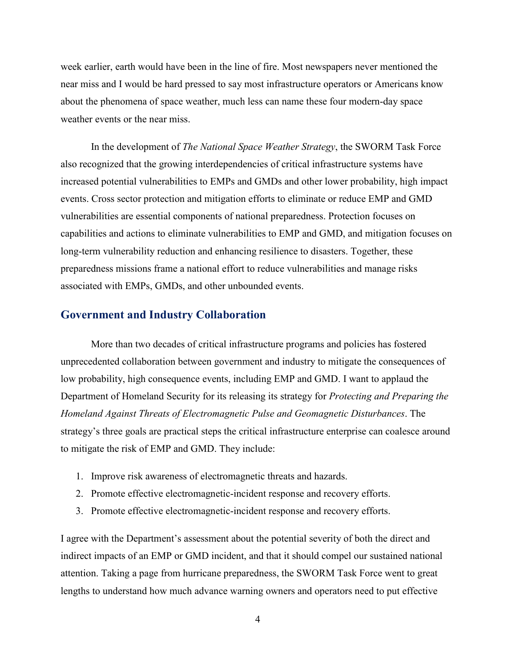week earlier, earth would have been in the line of fire. Most newspapers never mentioned the near miss and I would be hard pressed to say most infrastructure operators or Americans know about the phenomena of space weather, much less can name these four modern-day space weather events or the near miss.

In the development of *The National Space Weather Strategy*, the SWORM Task Force also recognized that the growing interdependencies of critical infrastructure systems have increased potential vulnerabilities to EMPs and GMDs and other lower probability, high impact events. Cross sector protection and mitigation efforts to eliminate or reduce EMP and GMD vulnerabilities are essential components of national preparedness. Protection focuses on capabilities and actions to eliminate vulnerabilities to EMP and GMD, and mitigation focuses on long-term vulnerability reduction and enhancing resilience to disasters. Together, these preparedness missions frame a national effort to reduce vulnerabilities and manage risks associated with EMPs, GMDs, and other unbounded events.

## **Government and Industry Collaboration**

More than two decades of critical infrastructure programs and policies has fostered unprecedented collaboration between government and industry to mitigate the consequences of low probability, high consequence events, including EMP and GMD. I want to applaud the Department of Homeland Security for its releasing its strategy for *Protecting and Preparing the Homeland Against Threats of Electromagnetic Pulse and Geomagnetic Disturbances*. The strategy's three goals are practical steps the critical infrastructure enterprise can coalesce around to mitigate the risk of EMP and GMD. They include:

- 1. Improve risk awareness of electromagnetic threats and hazards.
- 2. Promote effective electromagnetic-incident response and recovery efforts.
- 3. Promote effective electromagnetic-incident response and recovery efforts.

I agree with the Department's assessment about the potential severity of both the direct and indirect impacts of an EMP or GMD incident, and that it should compel our sustained national attention. Taking a page from hurricane preparedness, the SWORM Task Force went to great lengths to understand how much advance warning owners and operators need to put effective